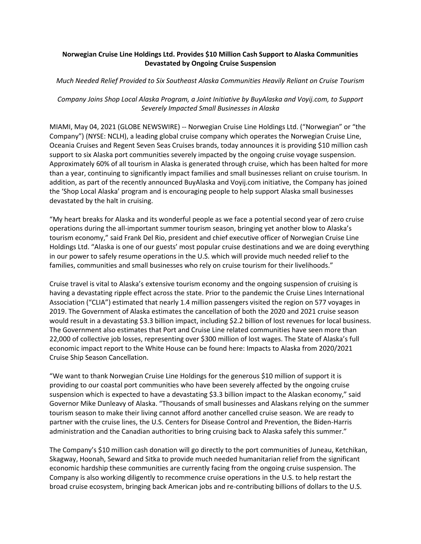# **Norwegian Cruise Line Holdings Ltd. Provides \$10 Million Cash Support to Alaska Communities Devastated by Ongoing Cruise Suspension**

### *Much Needed Relief Provided to Six Southeast Alaska Communities Heavily Reliant on Cruise Tourism*

# *Company Joins Shop Local Alaska Program, a Joint Initiative by BuyAlaska and Voyij.com, to Support Severely Impacted Small Businesses in Alaska*

MIAMI, May 04, 2021 (GLOBE NEWSWIRE) -- Norwegian Cruise Line Holdings Ltd. ("Norwegian" or "the Company") (NYSE: NCLH), a leading global cruise company which operates the Norwegian Cruise Line, Oceania Cruises and Regent Seven Seas Cruises brands, today announces it is providing \$10 million cash support to six Alaska port communities severely impacted by the ongoing cruise voyage suspension. Approximately 60% of all tourism in Alaska is generated through cruise, which has been halted for more than a year, continuing to significantly impact families and small businesses reliant on cruise tourism. In addition, as part of the recently announced BuyAlaska and Voyij.com initiative, the Company has joined the 'Shop Local Alaska' program and is encouraging people to help support Alaska small businesses devastated by the halt in cruising.

"My heart breaks for Alaska and its wonderful people as we face a potential second year of zero cruise operations during the all-important summer tourism season, bringing yet another blow to Alaska's tourism economy," said Frank Del Rio, president and chief executive officer of Norwegian Cruise Line Holdings Ltd. "Alaska is one of our guests' most popular cruise destinations and we are doing everything in our power to safely resume operations in the U.S. which will provide much needed relief to the families, communities and small businesses who rely on cruise tourism for their livelihoods."

Cruise travel is vital to Alaska's extensive tourism economy and the ongoing suspension of cruising is having a devastating ripple effect across the state. Prior to the pandemic the Cruise Lines International Association ("CLIA") estimated that nearly 1.4 million passengers visited the region on 577 voyages in 2019. The Government of Alaska estimates the cancellation of both the 2020 and 2021 cruise season would result in a devastating \$3.3 billion impact, including \$2.2 billion of lost revenues for local business. The Government also estimates that Port and Cruise Line related communities have seen more than 22,000 of collective job losses, representing over \$300 million of lost wages. The State of Alaska's full economic impact report to the White House can be found here: Impacts to Alaska from 2020/2021 Cruise Ship Season Cancellation.

"We want to thank Norwegian Cruise Line Holdings for the generous \$10 million of support it is providing to our coastal port communities who have been severely affected by the ongoing cruise suspension which is expected to have a devastating \$3.3 billion impact to the Alaskan economy," said Governor Mike Dunleavy of Alaska. "Thousands of small businesses and Alaskans relying on the summer tourism season to make their living cannot afford another cancelled cruise season. We are ready to partner with the cruise lines, the U.S. Centers for Disease Control and Prevention, the Biden-Harris administration and the Canadian authorities to bring cruising back to Alaska safely this summer."

The Company's \$10 million cash donation will go directly to the port communities of Juneau, Ketchikan, Skagway, Hoonah, Seward and Sitka to provide much needed humanitarian relief from the significant economic hardship these communities are currently facing from the ongoing cruise suspension. The Company is also working diligently to recommence cruise operations in the U.S. to help restart the broad cruise ecosystem, bringing back American jobs and re-contributing billions of dollars to the U.S.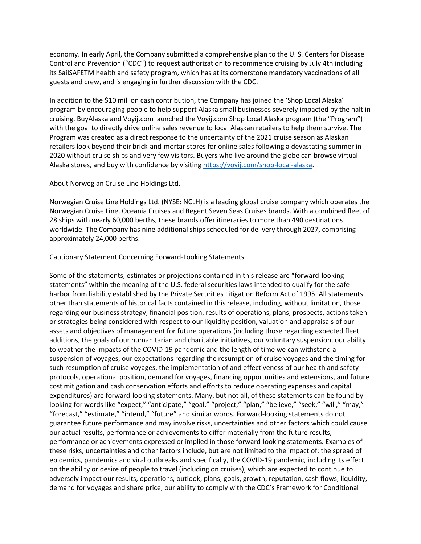economy. In early April, the Company submitted a comprehensive plan to the U. S. Centers for Disease Control and Prevention ("CDC") to request authorization to recommence cruising by July 4th including its SailSAFETM health and safety program, which has at its cornerstone mandatory vaccinations of all guests and crew, and is engaging in further discussion with the CDC.

In addition to the \$10 million cash contribution, the Company has joined the 'Shop Local Alaska' program by encouraging people to help support Alaska small businesses severely impacted by the halt in cruising. BuyAlaska and Voyij.com launched the Voyij.com Shop Local Alaska program (the "Program") with the goal to directly drive online sales revenue to local Alaskan retailers to help them survive. The Program was created as a direct response to the uncertainty of the 2021 cruise season as Alaskan retailers look beyond their brick-and-mortar stores for online sales following a devastating summer in 2020 without cruise ships and very few visitors. Buyers who live around the globe can browse virtual Alaska stores, and buy with confidence by visitin[g https://voyij.com/shop-local-alaska.](https://voyij.com/shop-local-alaska)

#### About Norwegian Cruise Line Holdings Ltd.

Norwegian Cruise Line Holdings Ltd. (NYSE: NCLH) is a leading global cruise company which operates the Norwegian Cruise Line, Oceania Cruises and Regent Seven Seas Cruises brands. With a combined fleet of 28 ships with nearly 60,000 berths, these brands offer itineraries to more than 490 destinations worldwide. The Company has nine additional ships scheduled for delivery through 2027, comprising approximately 24,000 berths.

#### Cautionary Statement Concerning Forward-Looking Statements

Some of the statements, estimates or projections contained in this release are "forward-looking statements" within the meaning of the U.S. federal securities laws intended to qualify for the safe harbor from liability established by the Private Securities Litigation Reform Act of 1995. All statements other than statements of historical facts contained in this release, including, without limitation, those regarding our business strategy, financial position, results of operations, plans, prospects, actions taken or strategies being considered with respect to our liquidity position, valuation and appraisals of our assets and objectives of management for future operations (including those regarding expected fleet additions, the goals of our humanitarian and charitable initiatives, our voluntary suspension, our ability to weather the impacts of the COVID-19 pandemic and the length of time we can withstand a suspension of voyages, our expectations regarding the resumption of cruise voyages and the timing for such resumption of cruise voyages, the implementation of and effectiveness of our health and safety protocols, operational position, demand for voyages, financing opportunities and extensions, and future cost mitigation and cash conservation efforts and efforts to reduce operating expenses and capital expenditures) are forward-looking statements. Many, but not all, of these statements can be found by looking for words like "expect," "anticipate," "goal," "project," "plan," "believe," "seek," "will," "may," "forecast," "estimate," "intend," "future" and similar words. Forward-looking statements do not guarantee future performance and may involve risks, uncertainties and other factors which could cause our actual results, performance or achievements to differ materially from the future results, performance or achievements expressed or implied in those forward-looking statements. Examples of these risks, uncertainties and other factors include, but are not limited to the impact of: the spread of epidemics, pandemics and viral outbreaks and specifically, the COVID-19 pandemic, including its effect on the ability or desire of people to travel (including on cruises), which are expected to continue to adversely impact our results, operations, outlook, plans, goals, growth, reputation, cash flows, liquidity, demand for voyages and share price; our ability to comply with the CDC's Framework for Conditional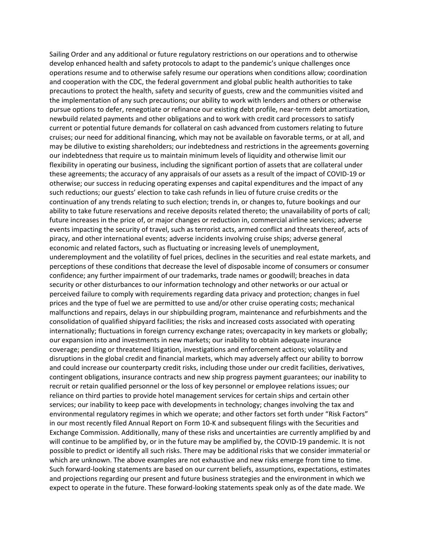Sailing Order and any additional or future regulatory restrictions on our operations and to otherwise develop enhanced health and safety protocols to adapt to the pandemic's unique challenges once operations resume and to otherwise safely resume our operations when conditions allow; coordination and cooperation with the CDC, the federal government and global public health authorities to take precautions to protect the health, safety and security of guests, crew and the communities visited and the implementation of any such precautions; our ability to work with lenders and others or otherwise pursue options to defer, renegotiate or refinance our existing debt profile, near-term debt amortization, newbuild related payments and other obligations and to work with credit card processors to satisfy current or potential future demands for collateral on cash advanced from customers relating to future cruises; our need for additional financing, which may not be available on favorable terms, or at all, and may be dilutive to existing shareholders; our indebtedness and restrictions in the agreements governing our indebtedness that require us to maintain minimum levels of liquidity and otherwise limit our flexibility in operating our business, including the significant portion of assets that are collateral under these agreements; the accuracy of any appraisals of our assets as a result of the impact of COVID-19 or otherwise; our success in reducing operating expenses and capital expenditures and the impact of any such reductions; our guests' election to take cash refunds in lieu of future cruise credits or the continuation of any trends relating to such election; trends in, or changes to, future bookings and our ability to take future reservations and receive deposits related thereto; the unavailability of ports of call; future increases in the price of, or major changes or reduction in, commercial airline services; adverse events impacting the security of travel, such as terrorist acts, armed conflict and threats thereof, acts of piracy, and other international events; adverse incidents involving cruise ships; adverse general economic and related factors, such as fluctuating or increasing levels of unemployment, underemployment and the volatility of fuel prices, declines in the securities and real estate markets, and perceptions of these conditions that decrease the level of disposable income of consumers or consumer confidence; any further impairment of our trademarks, trade names or goodwill; breaches in data security or other disturbances to our information technology and other networks or our actual or perceived failure to comply with requirements regarding data privacy and protection; changes in fuel prices and the type of fuel we are permitted to use and/or other cruise operating costs; mechanical malfunctions and repairs, delays in our shipbuilding program, maintenance and refurbishments and the consolidation of qualified shipyard facilities; the risks and increased costs associated with operating internationally; fluctuations in foreign currency exchange rates; overcapacity in key markets or globally; our expansion into and investments in new markets; our inability to obtain adequate insurance coverage; pending or threatened litigation, investigations and enforcement actions; volatility and disruptions in the global credit and financial markets, which may adversely affect our ability to borrow and could increase our counterparty credit risks, including those under our credit facilities, derivatives, contingent obligations, insurance contracts and new ship progress payment guarantees; our inability to recruit or retain qualified personnel or the loss of key personnel or employee relations issues; our reliance on third parties to provide hotel management services for certain ships and certain other services; our inability to keep pace with developments in technology; changes involving the tax and environmental regulatory regimes in which we operate; and other factors set forth under "Risk Factors" in our most recently filed Annual Report on Form 10-K and subsequent filings with the Securities and Exchange Commission. Additionally, many of these risks and uncertainties are currently amplified by and will continue to be amplified by, or in the future may be amplified by, the COVID-19 pandemic. It is not possible to predict or identify all such risks. There may be additional risks that we consider immaterial or which are unknown. The above examples are not exhaustive and new risks emerge from time to time. Such forward-looking statements are based on our current beliefs, assumptions, expectations, estimates and projections regarding our present and future business strategies and the environment in which we expect to operate in the future. These forward-looking statements speak only as of the date made. We